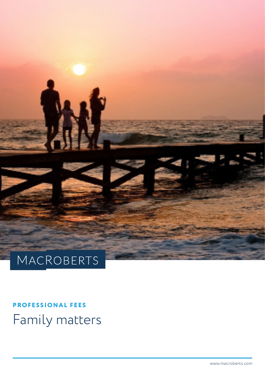

# **PROFESSIONAL FEES** Family matters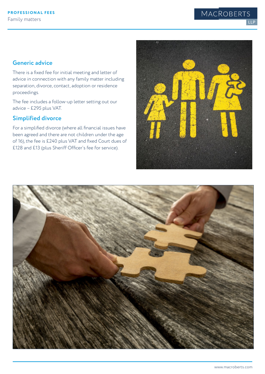#### **Generic advice**

There is a fixed fee for initial meeting and letter of advice in connection with any family matter including separation, divorce, contact, adoption or residence proceedings.

The fee includes a follow-up letter setting out our advice – £295 plus VAT.

#### **Simplified divorce**

For a simplified divorce (where all financial issues have been agreed and there are not children under the age of 16), the fee is £240 plus VAT and fixed Court dues of £128 and £13 (plus Sheriff Officer's fee for service).